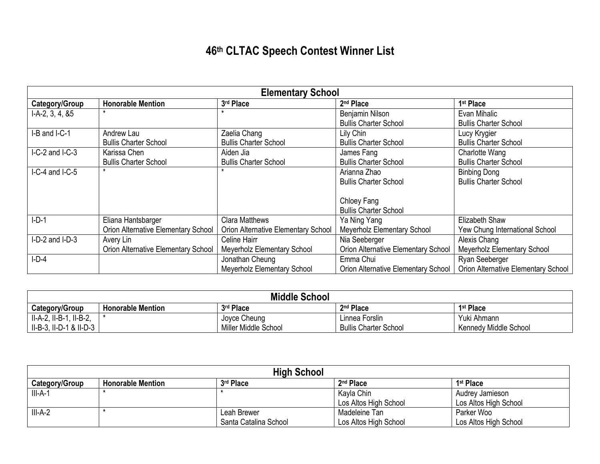## **46th CLTAC Speech Contest Winner List**

| <b>Elementary School</b> |                                     |                                     |                                            |                                            |
|--------------------------|-------------------------------------|-------------------------------------|--------------------------------------------|--------------------------------------------|
| Category/Group           | <b>Honorable Mention</b>            | 3rd Place                           | 2 <sup>nd</sup> Place                      | 1 <sup>st</sup> Place                      |
| $I-A-2, 3, 4, 85$        |                                     |                                     | Benjamin Nilson                            | Evan Mihalic                               |
|                          |                                     |                                     | <b>Bullis Charter School</b>               | <b>Bullis Charter School</b>               |
| I-B and I-C-1            | Andrew Lau                          | Zaelia Chang                        | Lily Chin                                  | Lucy Krygier                               |
|                          | <b>Bullis Charter School</b>        | <b>Bullis Charter School</b>        | <b>Bullis Charter School</b>               | <b>Bullis Charter School</b>               |
| I-C-2 and I-C-3          | Karissa Chen                        | Aiden Jia                           | James Fang                                 | Charlotte Wang                             |
|                          | <b>Bullis Charter School</b>        | <b>Bullis Charter School</b>        | <b>Bullis Charter School</b>               | <b>Bullis Charter School</b>               |
| $I-C-4$ and $I-C-5$      | $\star$                             |                                     | Arianna Zhao                               | <b>Binbing Dong</b>                        |
|                          |                                     |                                     | <b>Bullis Charter School</b>               | <b>Bullis Charter School</b>               |
|                          |                                     |                                     |                                            |                                            |
|                          |                                     |                                     | Chloey Fang                                |                                            |
|                          |                                     |                                     | <b>Bullis Charter School</b>               |                                            |
| $I-D-1$                  | Eliana Hantsbarger                  | <b>Clara Matthews</b>               | Ya Ning Yang                               | Elizabeth Shaw                             |
|                          | Orion Alternative Elementary School | Orion Alternative Elementary School | Meyerholz Elementary School                | Yew Chung International School             |
| I-D-2 and I-D-3          | Avery Lin                           | Celine Hairr                        | Nia Seeberger                              | Alexis Chang                               |
|                          | Orion Alternative Elementary School | <b>Meyerholz Elementary School</b>  | Orion Alternative Elementary School        | Meyerholz Elementary School                |
| $I-D-4$                  |                                     | Jonathan Cheung                     | Emma Chui                                  | Ryan Seeberger                             |
|                          |                                     | <b>Meyerholz Elementary School</b>  | <b>Orion Alternative Elementary School</b> | <b>Orion Alternative Elementary School</b> |

| <b>Middle School</b>    |                          |                      |                              |                       |
|-------------------------|--------------------------|----------------------|------------------------------|-----------------------|
| Category/Group          | <b>Honorable Mention</b> | 3rd Place            | 2 <sup>nd</sup> Place        | 1 <sup>st</sup> Place |
| II-A-2, II-B-1, II-B-2, |                          | Joyce Cheung         | Linnea Forslin               | Yuki Ahmann           |
| II-B-3, II-D-1 & II-D-3 |                          | Miller Middle School | <b>Bullis Charter School</b> | Kennedy Middle School |

| <b>High School</b>    |                          |                       |                       |                       |
|-----------------------|--------------------------|-----------------------|-----------------------|-----------------------|
| <b>Category/Group</b> | <b>Honorable Mention</b> | 3rd Place             | 2 <sup>nd</sup> Place | 1 <sup>st</sup> Place |
| $III-A-1$             |                          |                       | Kayla Chin            | Audrey Jamieson       |
|                       |                          |                       | Los Altos High School | Los Altos High School |
| $III-A-2$             |                          | Leah Brewer           | Madeleine Tan         | Parker Woo            |
|                       |                          | Santa Catalina School | Los Altos High School | Los Altos High School |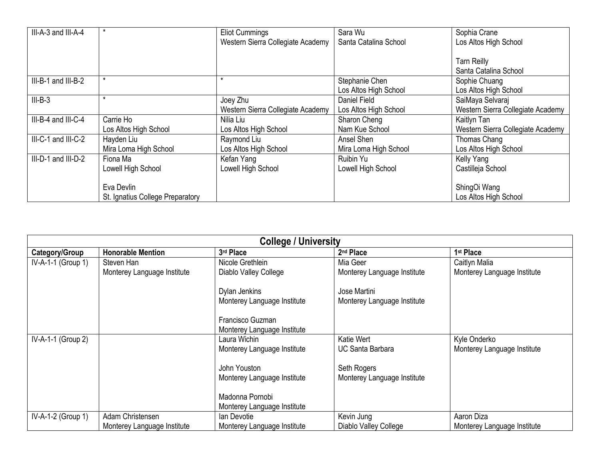| III-A-3 and III-A-4 | *                                | <b>Eliot Cummings</b><br>Western Sierra Collegiate Academy | Sara Wu<br>Santa Catalina School | Sophia Crane<br>Los Altos High School |
|---------------------|----------------------------------|------------------------------------------------------------|----------------------------------|---------------------------------------|
|                     |                                  |                                                            |                                  |                                       |
|                     |                                  |                                                            |                                  | <b>Tarn Reilly</b>                    |
|                     |                                  |                                                            |                                  | Santa Catalina School                 |
| III-B-1 and III-B-2 | $\star$                          | $\star$                                                    | Stephanie Chen                   | Sophie Chuang                         |
|                     |                                  |                                                            | Los Altos High School            | Los Altos High School                 |
| $III-B-3$           | *                                | Joey Zhu                                                   | Daniel Field                     | SaiMaya Selvaraj                      |
|                     |                                  | Western Sierra Collegiate Academy                          | Los Altos High School            | Western Sierra Collegiate Academy     |
| III-B-4 and III-C-4 | Carrie Ho                        | Nilia Liu                                                  | Sharon Cheng                     | Kaitlyn Tan                           |
|                     | Los Altos High School            | Los Altos High School                                      | Nam Kue School                   | Western Sierra Collegiate Academy     |
| III-C-1 and III-C-2 | Hayden Liu                       | Raymond Liu                                                | Ansel Shen                       | Thomas Chang                          |
|                     | Mira Loma High School            | Los Altos High School                                      | Mira Loma High School            | Los Altos High School                 |
| III-D-1 and III-D-2 | Fiona Ma                         | Kefan Yang                                                 | Ruibin Yu                        | Kelly Yang                            |
|                     | Lowell High School               | Lowell High School                                         | Lowell High School               | Castilleja School                     |
|                     |                                  |                                                            |                                  |                                       |
|                     | Eva Devlin                       |                                                            |                                  | ShingOi Wang                          |
|                     | St. Ignatius College Preparatory |                                                            |                                  | Los Altos High School                 |

| <b>College / University</b> |                             |                             |                             |                             |  |
|-----------------------------|-----------------------------|-----------------------------|-----------------------------|-----------------------------|--|
| Category/Group              | <b>Honorable Mention</b>    | 3rd Place                   | 2 <sup>nd</sup> Place       | 1 <sup>st</sup> Place       |  |
| $IV-A-1-1$ (Group 1)        | Steven Han                  | Nicole Grethlein            | Mia Geer                    | Caitlyn Malia               |  |
|                             | Monterey Language Institute | Diablo Valley College       | Monterey Language Institute | Monterey Language Institute |  |
|                             |                             | Dylan Jenkins               | Jose Martini                |                             |  |
|                             |                             | Monterey Language Institute | Monterey Language Institute |                             |  |
|                             |                             | Francisco Guzman            |                             |                             |  |
|                             |                             | Monterey Language Institute |                             |                             |  |
| IV-A-1-1 (Group 2)          |                             | Laura Wichin                | Katie Wert                  | Kyle Onderko                |  |
|                             |                             | Monterey Language Institute | <b>UC Santa Barbara</b>     | Monterey Language Institute |  |
|                             |                             | John Youston                | Seth Rogers                 |                             |  |
|                             |                             | Monterey Language Institute | Monterey Language Institute |                             |  |
|                             |                             | Madonna Pornobi             |                             |                             |  |
|                             |                             | Monterey Language Institute |                             |                             |  |
| $IV-A-1-2$ (Group 1)        | Adam Christensen            | lan Devotie                 | Kevin Jung                  | Aaron Diza                  |  |
|                             | Monterey Language Institute | Monterey Language Institute | Diablo Valley College       | Monterey Language Institute |  |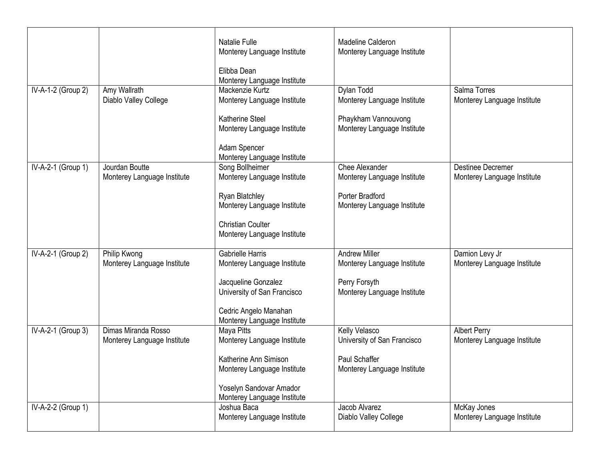|                    |                             |                                              | Madeline Calderon           |                             |
|--------------------|-----------------------------|----------------------------------------------|-----------------------------|-----------------------------|
|                    |                             | Natalie Fulle<br>Monterey Language Institute | Monterey Language Institute |                             |
|                    |                             | Elibba Dean                                  |                             |                             |
|                    |                             | Monterey Language Institute                  |                             |                             |
| IV-A-1-2 (Group 2) | Amy Wallrath                | Mackenzie Kurtz                              | Dylan Todd                  | Salma Torres                |
|                    | Diablo Valley College       | Monterey Language Institute                  | Monterey Language Institute | Monterey Language Institute |
|                    |                             | <b>Katherine Steel</b>                       | Phaykham Vannouvong         |                             |
|                    |                             | Monterey Language Institute                  | Monterey Language Institute |                             |
|                    |                             | Adam Spencer                                 |                             |                             |
|                    |                             | Monterey Language Institute                  |                             |                             |
| IV-A-2-1 (Group 1) | Jourdan Boutte              | Song Bollheimer                              | Chee Alexander              | <b>Destinee Decremer</b>    |
|                    | Monterey Language Institute | Monterey Language Institute                  | Monterey Language Institute | Monterey Language Institute |
|                    |                             | Ryan Blatchley                               | Porter Bradford             |                             |
|                    |                             | Monterey Language Institute                  | Monterey Language Institute |                             |
|                    |                             | <b>Christian Coulter</b>                     |                             |                             |
|                    |                             | Monterey Language Institute                  |                             |                             |
| IV-A-2-1 (Group 2) | Philip Kwong                | <b>Gabrielle Harris</b>                      | <b>Andrew Miller</b>        | Damion Levy Jr              |
|                    | Monterey Language Institute | Monterey Language Institute                  | Monterey Language Institute | Monterey Language Institute |
|                    |                             | Jacqueline Gonzalez                          | Perry Forsyth               |                             |
|                    |                             | University of San Francisco                  | Monterey Language Institute |                             |
|                    |                             | Cedric Angelo Manahan                        |                             |                             |
|                    |                             | Monterey Language Institute                  |                             |                             |
| IV-A-2-1 (Group 3) | Dimas Miranda Rosso         | Maya Pitts                                   | Kelly Velasco               | <b>Albert Perry</b>         |
|                    | Monterey Language Institute | Monterey Language Institute                  | University of San Francisco | Monterey Language Institute |
|                    |                             | Katherine Ann Simison                        | Paul Schaffer               |                             |
|                    |                             | Monterey Language Institute                  | Monterey Language Institute |                             |
|                    |                             | Yoselyn Sandovar Amador                      |                             |                             |
|                    |                             | Monterey Language Institute                  |                             |                             |
| IV-A-2-2 (Group 1) |                             | Joshua Baca                                  | Jacob Alvarez               | McKay Jones                 |
|                    |                             | Monterey Language Institute                  | Diablo Valley College       | Monterey Language Institute |